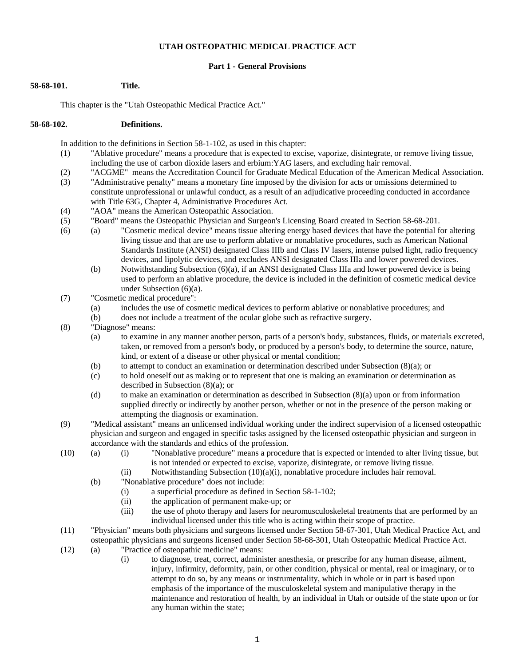#### **UTAH OSTEOPATHIC MEDICAL PRACTICE ACT**

#### **Part 1 - General Provisions**

# **58-68-101. Title.**

This chapter is the "Utah Osteopathic Medical Practice Act."

#### **58-68-102. Definitions.**

In addition to the definitions in Section 58-1-102, as used in this chapter:

- (1) "Ablative procedure" means a procedure that is expected to excise, vaporize, disintegrate, or remove living tissue, including the use of carbon dioxide lasers and erbium:YAG lasers, and excluding hair removal.
- (2) "ACGME" means the Accreditation Council for Graduate Medical Education of the American Medical Association.
- (3) "Administrative penalty" means a monetary fine imposed by the division for acts or omissions determined to constitute unprofessional or unlawful conduct, as a result of an adjudicative proceeding conducted in accordance with Title 63G, Chapter 4, Administrative Procedures Act.
- (4) "AOA" means the American Osteopathic Association.
- (5) "Board" means the Osteopathic Physician and Surgeon's Licensing Board created in Section 58-68-201.
- (6) (a) "Cosmetic medical device" means tissue altering energy based devices that have the potential for altering living tissue and that are use to perform ablative or nonablative procedures, such as American National Standards Institute (ANSI) designated Class IIIb and Class IV lasers, intense pulsed light, radio frequency devices, and lipolytic devices, and excludes ANSI designated Class IIIa and lower powered devices.
	- (b) Notwithstanding Subsection (6)(a), if an ANSI designated Class IIIa and lower powered device is being used to perform an ablative procedure, the device is included in the definition of cosmetic medical device under Subsection (6)(a).
- (7) "Cosmetic medical procedure":
	- (a) includes the use of cosmetic medical devices to perform ablative or nonablative procedures; and
	- (b) does not include a treatment of the ocular globe such as refractive surgery.
- (8) "Diagnose" means:
	- (a) to examine in any manner another person, parts of a person's body, substances, fluids, or materials excreted, taken, or removed from a person's body, or produced by a person's body, to determine the source, nature, kind, or extent of a disease or other physical or mental condition;
	- (b) to attempt to conduct an examination or determination described under Subsection (8)(a); or
	- (c) to hold oneself out as making or to represent that one is making an examination or determination as described in Subsection (8)(a); or
	- (d) to make an examination or determination as described in Subsection (8)(a) upon or from information supplied directly or indirectly by another person, whether or not in the presence of the person making or attempting the diagnosis or examination.
- (9) "Medical assistant" means an unlicensed individual working under the indirect supervision of a licensed osteopathic physician and surgeon and engaged in specific tasks assigned by the licensed osteopathic physician and surgeon in accordance with the standards and ethics of the profession.
- (10) (a) (i) "Nonablative procedure" means a procedure that is expected or intended to alter living tissue, but is not intended or expected to excise, vaporize, disintegrate, or remove living tissue.
	- (ii) Notwithstanding Subsection  $(10)(a)(i)$ , nonablative procedure includes hair removal.
	- (b) "Nonablative procedure" does not include:
		- (i) a superficial procedure as defined in Section 58-1-102;
		- (ii) the application of permanent make-up; or
		- (iii) the use of photo therapy and lasers for neuromusculoskeletal treatments that are performed by an individual licensed under this title who is acting within their scope of practice.
- (11) "Physician" means both physicians and surgeons licensed under Section 58-67-301, Utah Medical Practice Act, and osteopathic physicians and surgeons licensed under Section 58-68-301, Utah Osteopathic Medical Practice Act.
- (12) (a) "Practice of osteopathic medicine" means:
	- (i) to diagnose, treat, correct, administer anesthesia, or prescribe for any human disease, ailment, injury, infirmity, deformity, pain, or other condition, physical or mental, real or imaginary, or to attempt to do so, by any means or instrumentality, which in whole or in part is based upon emphasis of the importance of the musculoskeletal system and manipulative therapy in the maintenance and restoration of health, by an individual in Utah or outside of the state upon or for any human within the state;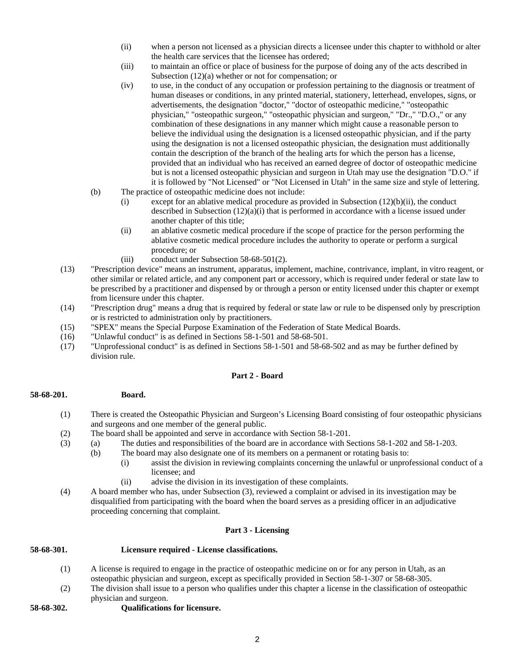- (ii) when a person not licensed as a physician directs a licensee under this chapter to withhold or alter the health care services that the licensee has ordered;
- (iii) to maintain an office or place of business for the purpose of doing any of the acts described in Subsection (12)(a) whether or not for compensation; or
- (iv) to use, in the conduct of any occupation or profession pertaining to the diagnosis or treatment of human diseases or conditions, in any printed material, stationery, letterhead, envelopes, signs, or advertisements, the designation "doctor," "doctor of osteopathic medicine," "osteopathic physician," "osteopathic surgeon," "osteopathic physician and surgeon," "Dr.," "D.O.," or any combination of these designations in any manner which might cause a reasonable person to believe the individual using the designation is a licensed osteopathic physician, and if the party using the designation is not a licensed osteopathic physician, the designation must additionally contain the description of the branch of the healing arts for which the person has a license, provided that an individual who has received an earned degree of doctor of osteopathic medicine but is not a licensed osteopathic physician and surgeon in Utah may use the designation "D.O." if it is followed by "Not Licensed" or "Not Licensed in Utah" in the same size and style of lettering.
- (b) The practice of osteopathic medicine does not include:
	- (i) except for an ablative medical procedure as provided in Subsection  $(12)(b)(ii)$ , the conduct described in Subsection  $(12)(a)(i)$  that is performed in accordance with a license issued under another chapter of this title;
	- (ii) an ablative cosmetic medical procedure if the scope of practice for the person performing the ablative cosmetic medical procedure includes the authority to operate or perform a surgical procedure; or
	- (iii) conduct under Subsection 58-68-501(2).
- (13) "Prescription device" means an instrument, apparatus, implement, machine, contrivance, implant, in vitro reagent, or other similar or related article, and any component part or accessory, which is required under federal or state law to be prescribed by a practitioner and dispensed by or through a person or entity licensed under this chapter or exempt from licensure under this chapter.
- (14) "Prescription drug" means a drug that is required by federal or state law or rule to be dispensed only by prescription or is restricted to administration only by practitioners.
- (15) "SPEX" means the Special Purpose Examination of the Federation of State Medical Boards.
- (16) "Unlawful conduct" is as defined in Sections 58-1-501 and 58-68-501.
- (17) "Unprofessional conduct" is as defined in Sections 58-1-501 and 58-68-502 and as may be further defined by division rule.

# **Part 2 - Board**

#### **58-68-201. Board.**

- (1) There is created the Osteopathic Physician and Surgeon's Licensing Board consisting of four osteopathic physicians and surgeons and one member of the general public.
- (2) The board shall be appointed and serve in accordance with Section 58-1-201.
- (3) (a) The duties and responsibilities of the board are in accordance with Sections 58-1-202 and 58-1-203.
	- (b) The board may also designate one of its members on a permanent or rotating basis to:
		- (i) assist the division in reviewing complaints concerning the unlawful or unprofessional conduct of a licensee; and
		- (ii) advise the division in its investigation of these complaints.
- (4) A board member who has, under Subsection (3), reviewed a complaint or advised in its investigation may be disqualified from participating with the board when the board serves as a presiding officer in an adjudicative proceeding concerning that complaint.

# **Part 3 - Licensing**

#### **58-68-301. Licensure required - License classifications.**

- (1) A license is required to engage in the practice of osteopathic medicine on or for any person in Utah, as an osteopathic physician and surgeon, except as specifically provided in Section 58-1-307 or 58-68-305.
- (2) The division shall issue to a person who qualifies under this chapter a license in the classification of osteopathic physician and surgeon.
- **58-68-302. Qualifications for licensure.**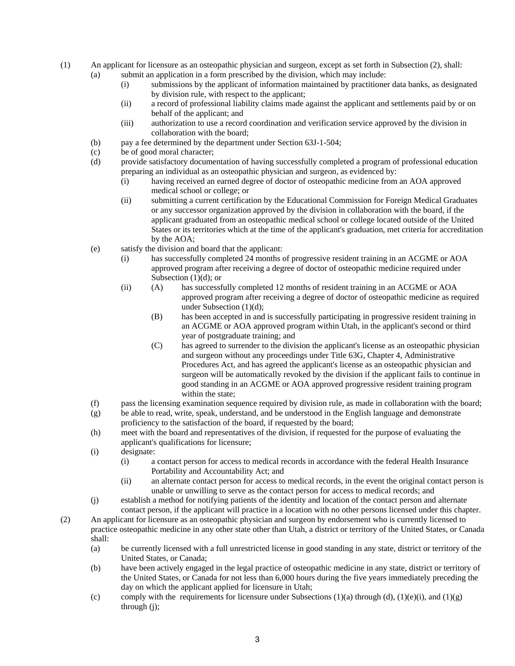- (1) An applicant for licensure as an osteopathic physician and surgeon, except as set forth in Subsection (2), shall:
	- (a) submit an application in a form prescribed by the division, which may include:
		- (i) submissions by the applicant of information maintained by practitioner data banks, as designated by division rule, with respect to the applicant;
		- (ii) a record of professional liability claims made against the applicant and settlements paid by or on behalf of the applicant; and
		- (iii) authorization to use a record coordination and verification service approved by the division in collaboration with the board;
		- (b) pay a fee determined by the department under Section 63J-1-504;
		- (c) be of good moral character;
		- (d) provide satisfactory documentation of having successfully completed a program of professional education preparing an individual as an osteopathic physician and surgeon, as evidenced by:
			- (i) having received an earned degree of doctor of osteopathic medicine from an AOA approved medical school or college; or
			- (ii) submitting a current certification by the Educational Commission for Foreign Medical Graduates or any successor organization approved by the division in collaboration with the board, if the applicant graduated from an osteopathic medical school or college located outside of the United States or its territories which at the time of the applicant's graduation, met criteria for accreditation by the AOA;
		- (e) satisfy the division and board that the applicant:
			- (i) has successfully completed 24 months of progressive resident training in an ACGME or AOA approved program after receiving a degree of doctor of osteopathic medicine required under Subsection  $(1)(d)$ ; or
			- (ii) (A) has successfully completed 12 months of resident training in an ACGME or AOA approved program after receiving a degree of doctor of osteopathic medicine as required under Subsection (1)(d);
				- (B) has been accepted in and is successfully participating in progressive resident training in an ACGME or AOA approved program within Utah, in the applicant's second or third year of postgraduate training; and
				- (C) has agreed to surrender to the division the applicant's license as an osteopathic physician and surgeon without any proceedings under Title 63G, Chapter 4, Administrative Procedures Act, and has agreed the applicant's license as an osteopathic physician and surgeon will be automatically revoked by the division if the applicant fails to continue in good standing in an ACGME or AOA approved progressive resident training program within the state;
		- (f) pass the licensing examination sequence required by division rule, as made in collaboration with the board;
		- (g) be able to read, write, speak, understand, and be understood in the English language and demonstrate proficiency to the satisfaction of the board, if requested by the board;
		- (h) meet with the board and representatives of the division, if requested for the purpose of evaluating the applicant's qualifications for licensure;
		- (i) designate:
			- (i) a contact person for access to medical records in accordance with the federal Health Insurance Portability and Accountability Act; and
			- (ii) an alternate contact person for access to medical records, in the event the original contact person is unable or unwilling to serve as the contact person for access to medical records; and
		- (j) establish a method for notifying patients of the identity and location of the contact person and alternate contact person, if the applicant will practice in a location with no other persons licensed under this chapter.
- (2) An applicant for licensure as an osteopathic physician and surgeon by endorsement who is currently licensed to practice osteopathic medicine in any other state other than Utah, a district or territory of the United States, or Canada shall:
	- (a) be currently licensed with a full unrestricted license in good standing in any state, district or territory of the United States, or Canada;
	- (b) have been actively engaged in the legal practice of osteopathic medicine in any state, district or territory of the United States, or Canada for not less than 6,000 hours during the five years immediately preceding the day on which the applicant applied for licensure in Utah;
	- (c) comply with the requirements for licensure under Subsections  $(1)(a)$  through  $(d)$ ,  $(1)(e)(i)$ , and  $(1)(g)$ through (j);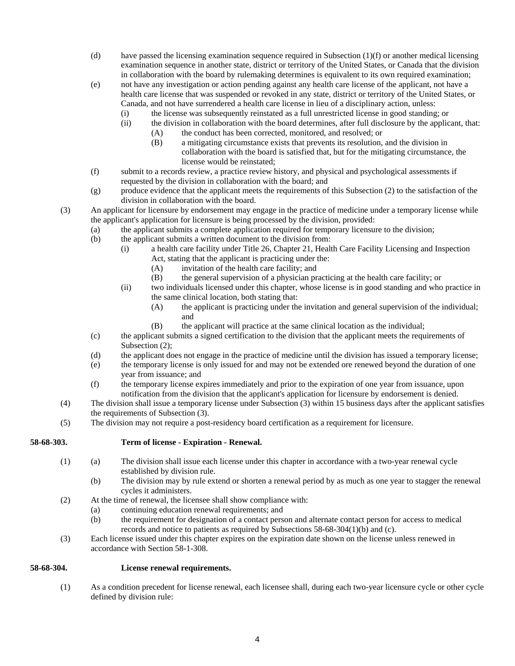- (d) have passed the licensing examination sequence required in Subsection (1)(f) or another medical licensing examination sequence in another state, district or territory of the United States, or Canada that the division in collaboration with the board by rulemaking determines is equivalent to its own required examination;
- (e) not have any investigation or action pending against any health care license of the applicant, not have a health care license that was suspended or revoked in any state, district or territory of the United States, or Canada, and not have surrendered a health care license in lieu of a disciplinary action, unless:
	- (i) the license was subsequently reinstated as a full unrestricted license in good standing; or
	- (ii) the division in collaboration with the board determines, after full disclosure by the applicant, that:
		- (A) the conduct has been corrected, monitored, and resolved; or
			- (B) a mitigating circumstance exists that prevents its resolution, and the division in collaboration with the board is satisfied that, but for the mitigating circumstance, the license would be reinstated;
- (f) submit to a records review, a practice review history, and physical and psychological assessments if requested by the division in collaboration with the board; and
- (g) produce evidence that the applicant meets the requirements of this Subsection (2) to the satisfaction of the division in collaboration with the board.
- (3) An applicant for licensure by endorsement may engage in the practice of medicine under a temporary license while the applicant's application for licensure is being processed by the division, provided:
	- (a) the applicant submits a complete application required for temporary licensure to the division;
	- (b) the applicant submits a written document to the division from:
		- (i) a health care facility under Title 26, Chapter 21, Health Care Facility Licensing and Inspection Act, stating that the applicant is practicing under the:
			- (A) invitation of the health care facility; and
			- (B) the general supervision of a physician practicing at the health care facility; or
		- (ii) two individuals licensed under this chapter, whose license is in good standing and who practice in the same clinical location, both stating that:
			- (A) the applicant is practicing under the invitation and general supervision of the individual; and
			- (B) the applicant will practice at the same clinical location as the individual;
	- (c) the applicant submits a signed certification to the division that the applicant meets the requirements of Subsection  $(2)$ ;
	- (d) the applicant does not engage in the practice of medicine until the division has issued a temporary license;
	- (e) the temporary license is only issued for and may not be extended ore renewed beyond the duration of one year from issuance; and
	- (f) the temporary license expires immediately and prior to the expiration of one year from issuance, upon notification from the division that the applicant's application for licensure by endorsement is denied.
- (4) The division shall issue a temporary license under Subsection (3) within 15 business days after the applicant satisfies the requirements of Subsection (3).
- (5) The division may not require a post-residency board certification as a requirement for licensure.

# **58-68-303. Term of license - Expiration - Renewal.**

- (1) (a) The division shall issue each license under this chapter in accordance with a two-year renewal cycle established by division rule.
	- (b) The division may by rule extend or shorten a renewal period by as much as one year to stagger the renewal cycles it administers.
- (2) At the time of renewal, the licensee shall show compliance with:
	- (a) continuing education renewal requirements; and
	- (b) the requirement for designation of a contact person and alternate contact person for access to medical records and notice to patients as required by Subsections 58-68-304(1)(b) and (c).
- (3) Each license issued under this chapter expires on the expiration date shown on the license unless renewed in accordance with Section 58-1-308.

#### **58-68-304. License renewal requirements.**

(1) As a condition precedent for license renewal, each licensee shall, during each two-year licensure cycle or other cycle defined by division rule: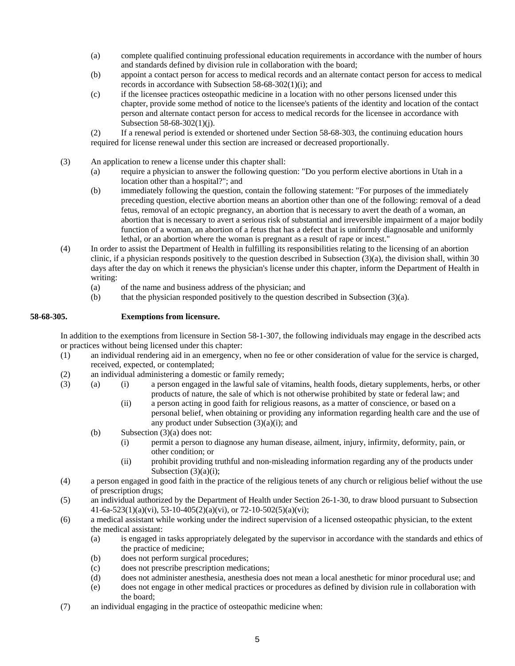- (a) complete qualified continuing professional education requirements in accordance with the number of hours and standards defined by division rule in collaboration with the board;
- (b) appoint a contact person for access to medical records and an alternate contact person for access to medical records in accordance with Subsection 58-68-302(1)(i); and
- (c) if the licensee practices osteopathic medicine in a location with no other persons licensed under this chapter, provide some method of notice to the licensee's patients of the identity and location of the contact person and alternate contact person for access to medical records for the licensee in accordance with Subsection 58-68-302(1)(j).
- (2) If a renewal period is extended or shortened under Section 58-68-303, the continuing education hours required for license renewal under this section are increased or decreased proportionally.
- (3) An application to renew a license under this chapter shall:
	- (a) require a physician to answer the following question: "Do you perform elective abortions in Utah in a location other than a hospital?"; and
	- (b) immediately following the question, contain the following statement: "For purposes of the immediately preceding question, elective abortion means an abortion other than one of the following: removal of a dead fetus, removal of an ectopic pregnancy, an abortion that is necessary to avert the death of a woman, an abortion that is necessary to avert a serious risk of substantial and irreversible impairment of a major bodily function of a woman, an abortion of a fetus that has a defect that is uniformly diagnosable and uniformly lethal, or an abortion where the woman is pregnant as a result of rape or incest."
- (4) In order to assist the Department of Health in fulfilling its responsibilities relating to the licensing of an abortion clinic, if a physician responds positively to the question described in Subsection (3)(a), the division shall, within 30 days after the day on which it renews the physician's license under this chapter, inform the Department of Health in writing:
	- (a) of the name and business address of the physician; and
	- (b) that the physician responded positively to the question described in Subsection (3)(a).

#### **58-68-305. Exemptions from licensure.**

In addition to the exemptions from licensure in Section 58-1-307, the following individuals may engage in the described acts or practices without being licensed under this chapter:

- (1) an individual rendering aid in an emergency, when no fee or other consideration of value for the service is charged, received, expected, or contemplated;
- (2) an individual administering a domestic or family remedy;
- (3) (a) (i) a person engaged in the lawful sale of vitamins, health foods, dietary supplements, herbs, or other products of nature, the sale of which is not otherwise prohibited by state or federal law; and
	- (ii) a person acting in good faith for religious reasons, as a matter of conscience, or based on a personal belief, when obtaining or providing any information regarding health care and the use of any product under Subsection (3)(a)(i); and
	- (b) Subsection (3)(a) does not:
		- (i) permit a person to diagnose any human disease, ailment, injury, infirmity, deformity, pain, or other condition; or
		- (ii) prohibit providing truthful and non-misleading information regarding any of the products under Subsection  $(3)(a)(i)$ ;
- (4) a person engaged in good faith in the practice of the religious tenets of any church or religious belief without the use of prescription drugs;
- (5) an individual authorized by the Department of Health under Section 26-1-30, to draw blood pursuant to Subsection  $41-6a-523(1)(a)(vi), 53-10-405(2)(a)(vi), or 72-10-502(5)(a)(vi);$
- (6) a medical assistant while working under the indirect supervision of a licensed osteopathic physician, to the extent the medical assistant:
	- (a) is engaged in tasks appropriately delegated by the supervisor in accordance with the standards and ethics of the practice of medicine;
	- (b) does not perform surgical procedures;
	- (c) does not prescribe prescription medications;
	- (d) does not administer anesthesia, anesthesia does not mean a local anesthetic for minor procedural use; and
	- (e) does not engage in other medical practices or procedures as defined by division rule in collaboration with the board;
- (7) an individual engaging in the practice of osteopathic medicine when: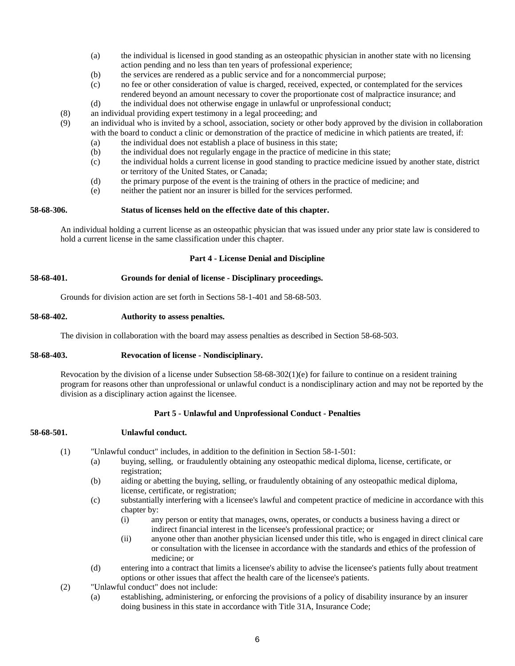- (a) the individual is licensed in good standing as an osteopathic physician in another state with no licensing action pending and no less than ten years of professional experience;
- (b) the services are rendered as a public service and for a noncommercial purpose;
- (c) no fee or other consideration of value is charged, received, expected, or contemplated for the services rendered beyond an amount necessary to cover the proportionate cost of malpractice insurance; and
- (d) the individual does not otherwise engage in unlawful or unprofessional conduct;
- (8) an individual providing expert testimony in a legal proceeding; and
- (9) an individual who is invited by a school, association, society or other body approved by the division in collaboration with the board to conduct a clinic or demonstration of the practice of medicine in which patients are treated, if:
	- (a) the individual does not establish a place of business in this state;
	- (b) the individual does not regularly engage in the practice of medicine in this state;
	- (c) the individual holds a current license in good standing to practice medicine issued by another state, district or territory of the United States, or Canada;
	- (d) the primary purpose of the event is the training of others in the practice of medicine; and
	- (e) neither the patient nor an insurer is billed for the services performed.

#### **58-68-306. Status of licenses held on the effective date of this chapter.**

An individual holding a current license as an osteopathic physician that was issued under any prior state law is considered to hold a current license in the same classification under this chapter.

#### **Part 4 - License Denial and Discipline**

## **58-68-401. Grounds for denial of license - Disciplinary proceedings.**

Grounds for division action are set forth in Sections 58-1-401 and 58-68-503.

#### **58-68-402. Authority to assess penalties.**

The division in collaboration with the board may assess penalties as described in Section 58-68-503.

#### **58-68-403. Revocation of license - Nondisciplinary.**

Revocation by the division of a license under Subsection 58-68-302(1)(e) for failure to continue on a resident training program for reasons other than unprofessional or unlawful conduct is a nondisciplinary action and may not be reported by the division as a disciplinary action against the licensee.

# **Part 5 - Unlawful and Unprofessional Conduct - Penalties**

# **58-68-501. Unlawful conduct.**

- (1) "Unlawful conduct" includes, in addition to the definition in Section 58-1-501:
	- (a) buying, selling, or fraudulently obtaining any osteopathic medical diploma, license, certificate, or registration;
	- (b) aiding or abetting the buying, selling, or fraudulently obtaining of any osteopathic medical diploma, license, certificate, or registration;
	- (c) substantially interfering with a licensee's lawful and competent practice of medicine in accordance with this chapter by:
		- (i) any person or entity that manages, owns, operates, or conducts a business having a direct or indirect financial interest in the licensee's professional practice; or
		- (ii) anyone other than another physician licensed under this title, who is engaged in direct clinical care or consultation with the licensee in accordance with the standards and ethics of the profession of medicine; or
	- (d) entering into a contract that limits a licensee's ability to advise the licensee's patients fully about treatment options or other issues that affect the health care of the licensee's patients.
- (2) "Unlawful conduct" does not include:
	- (a) establishing, administering, or enforcing the provisions of a policy of disability insurance by an insurer doing business in this state in accordance with Title 31A, Insurance Code;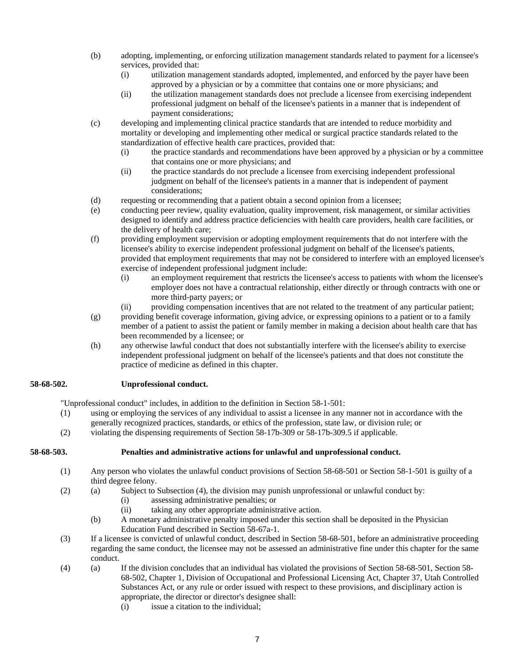- (b) adopting, implementing, or enforcing utilization management standards related to payment for a licensee's services, provided that:
	- (i) utilization management standards adopted, implemented, and enforced by the payer have been approved by a physician or by a committee that contains one or more physicians; and
	- (ii) the utilization management standards does not preclude a licensee from exercising independent professional judgment on behalf of the licensee's patients in a manner that is independent of payment considerations;
- (c) developing and implementing clinical practice standards that are intended to reduce morbidity and mortality or developing and implementing other medical or surgical practice standards related to the standardization of effective health care practices, provided that:
	- (i) the practice standards and recommendations have been approved by a physician or by a committee that contains one or more physicians; and
	- (ii) the practice standards do not preclude a licensee from exercising independent professional judgment on behalf of the licensee's patients in a manner that is independent of payment considerations;
- (d) requesting or recommending that a patient obtain a second opinion from a licensee;
- (e) conducting peer review, quality evaluation, quality improvement, risk management, or similar activities designed to identify and address practice deficiencies with health care providers, health care facilities, or the delivery of health care;
- (f) providing employment supervision or adopting employment requirements that do not interfere with the licensee's ability to exercise independent professional judgment on behalf of the licensee's patients, provided that employment requirements that may not be considered to interfere with an employed licensee's exercise of independent professional judgment include:
	- (i) an employment requirement that restricts the licensee's access to patients with whom the licensee's employer does not have a contractual relationship, either directly or through contracts with one or more third-party payers; or
	- (ii) providing compensation incentives that are not related to the treatment of any particular patient;
- (g) providing benefit coverage information, giving advice, or expressing opinions to a patient or to a family member of a patient to assist the patient or family member in making a decision about health care that has been recommended by a licensee; or
- (h) any otherwise lawful conduct that does not substantially interfere with the licensee's ability to exercise independent professional judgment on behalf of the licensee's patients and that does not constitute the practice of medicine as defined in this chapter.

# **58-68-502. Unprofessional conduct.**

"Unprofessional conduct" includes, in addition to the definition in Section 58-1-501:

- (1) using or employing the services of any individual to assist a licensee in any manner not in accordance with the generally recognized practices, standards, or ethics of the profession, state law, or division rule; or
- (2) violating the dispensing requirements of Section 58-17b-309 or 58-17b-309.5 if applicable.

# **58-68-503. Penalties and administrative actions for unlawful and unprofessional conduct.**

- (1) Any person who violates the unlawful conduct provisions of Section 58-68-501 or Section 58-1-501 is guilty of a third degree felony.
- (2) (a) Subject to Subsection (4), the division may punish unprofessional or unlawful conduct by:
	- (i) assessing administrative penalties; or
	- (ii) taking any other appropriate administrative action.
	- (b) A monetary administrative penalty imposed under this section shall be deposited in the Physician Education Fund described in Section 58-67a-1.
- (3) If a licensee is convicted of unlawful conduct, described in Section 58-68-501, before an administrative proceeding regarding the same conduct, the licensee may not be assessed an administrative fine under this chapter for the same conduct.
- (4) (a) If the division concludes that an individual has violated the provisions of Section 58-68-501, Section 58- 68-502, Chapter 1, Division of Occupational and Professional Licensing Act, Chapter 37, Utah Controlled Substances Act, or any rule or order issued with respect to these provisions, and disciplinary action is appropriate, the director or director's designee shall:
	- (i) issue a citation to the individual;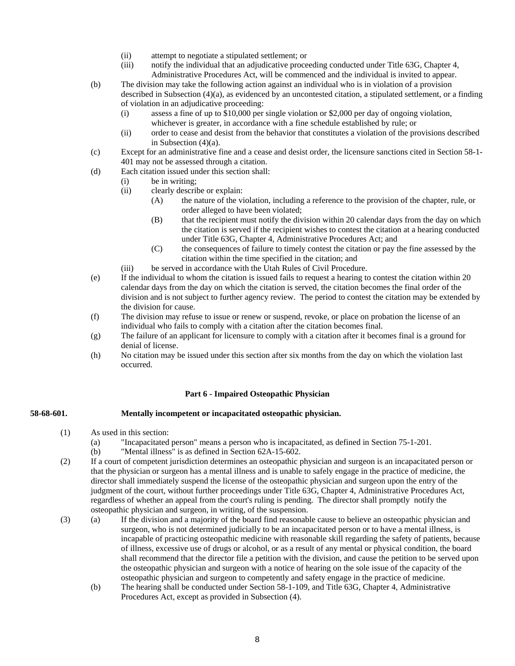- (ii) attempt to negotiate a stipulated settlement; or
- (iii) notify the individual that an adjudicative proceeding conducted under Title 63G, Chapter 4, Administrative Procedures Act, will be commenced and the individual is invited to appear.
- (b) The division may take the following action against an individual who is in violation of a provision described in Subsection (4)(a), as evidenced by an uncontested citation, a stipulated settlement, or a finding of violation in an adjudicative proceeding:
	- (i) assess a fine of up to \$10,000 per single violation or \$2,000 per day of ongoing violation, whichever is greater, in accordance with a fine schedule established by rule; or
	- (ii) order to cease and desist from the behavior that constitutes a violation of the provisions described in Subsection (4)(a).
- (c) Except for an administrative fine and a cease and desist order, the licensure sanctions cited in Section 58-1- 401 may not be assessed through a citation.
- (d) Each citation issued under this section shall:
	- (i) be in writing;
	- (ii) clearly describe or explain:
		- (A) the nature of the violation, including a reference to the provision of the chapter, rule, or order alleged to have been violated;
		- (B) that the recipient must notify the division within 20 calendar days from the day on which the citation is served if the recipient wishes to contest the citation at a hearing conducted under Title 63G, Chapter 4, Administrative Procedures Act; and
		- (C) the consequences of failure to timely contest the citation or pay the fine assessed by the citation within the time specified in the citation; and
	- (iii) be served in accordance with the Utah Rules of Civil Procedure.
- (e) If the individual to whom the citation is issued fails to request a hearing to contest the citation within 20 calendar days from the day on which the citation is served, the citation becomes the final order of the division and is not subject to further agency review. The period to contest the citation may be extended by the division for cause.
- (f) The division may refuse to issue or renew or suspend, revoke, or place on probation the license of an individual who fails to comply with a citation after the citation becomes final.
- (g) The failure of an applicant for licensure to comply with a citation after it becomes final is a ground for denial of license.
- (h) No citation may be issued under this section after six months from the day on which the violation last occurred.

# **Part 6 - Impaired Osteopathic Physician**

# **58-68-601. Mentally incompetent or incapacitated osteopathic physician.**

- (1) As used in this section:
	- (a) "Incapacitated person" means a person who is incapacitated, as defined in Section 75-1-201.
		- (b) "Mental illness" is as defined in Section 62A-15-602.
- (2) If a court of competent jurisdiction determines an osteopathic physician and surgeon is an incapacitated person or that the physician or surgeon has a mental illness and is unable to safely engage in the practice of medicine, the director shall immediately suspend the license of the osteopathic physician and surgeon upon the entry of the judgment of the court, without further proceedings under Title 63G, Chapter 4, Administrative Procedures Act, regardless of whether an appeal from the court's ruling is pending. The director shall promptly notify the osteopathic physician and surgeon, in writing, of the suspension.
- (3) (a) If the division and a majority of the board find reasonable cause to believe an osteopathic physician and surgeon, who is not determined judicially to be an incapacitated person or to have a mental illness, is incapable of practicing osteopathic medicine with reasonable skill regarding the safety of patients, because of illness, excessive use of drugs or alcohol, or as a result of any mental or physical condition, the board shall recommend that the director file a petition with the division, and cause the petition to be served upon the osteopathic physician and surgeon with a notice of hearing on the sole issue of the capacity of the osteopathic physician and surgeon to competently and safety engage in the practice of medicine.
	- (b) The hearing shall be conducted under Section 58-1-109, and Title 63G, Chapter 4, Administrative Procedures Act, except as provided in Subsection (4).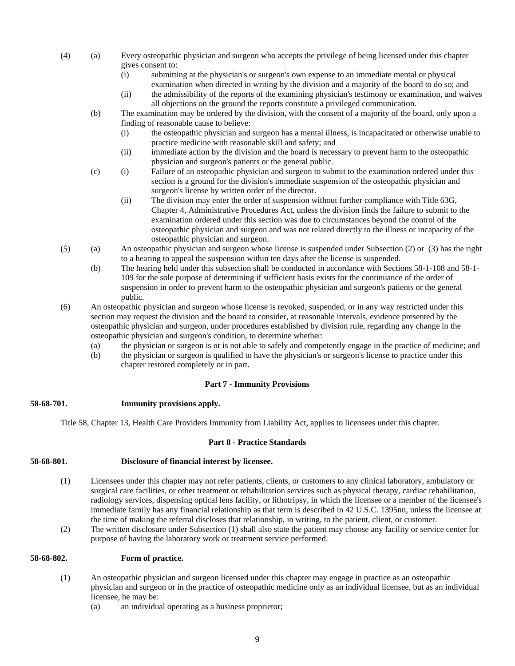- (4) (a) Every osteopathic physician and surgeon who accepts the privilege of being licensed under this chapter gives consent to:
	- (i) submitting at the physician's or surgeon's own expense to an immediate mental or physical examination when directed in writing by the division and a majority of the board to do so; and
	- (ii) the admissibility of the reports of the examining physician's testimony or examination, and waives all objections on the ground the reports constitute a privileged communication.
	- (b) The examination may be ordered by the division, with the consent of a majority of the board, only upon a finding of reasonable cause to believe:
		- (i) the osteopathic physician and surgeon has a mental illness, is incapacitated or otherwise unable to practice medicine with reasonable skill and safety; and
		- (ii) immediate action by the division and the board is necessary to prevent harm to the osteopathic physician and surgeon's patients or the general public.
	- (c) (i) Failure of an osteopathic physician and surgeon to submit to the examination ordered under this section is a ground for the division's immediate suspension of the osteopathic physician and surgeon's license by written order of the director.
		- (ii) The division may enter the order of suspension without further compliance with Title 63G, Chapter 4, Administrative Procedures Act, unless the division finds the failure to submit to the examination ordered under this section was due to circumstances beyond the control of the osteopathic physician and surgeon and was not related directly to the illness or incapacity of the osteopathic physician and surgeon.
- (5) (a) An osteopathic physician and surgeon whose license is suspended under Subsection (2) or (3) has the right to a hearing to appeal the suspension within ten days after the license is suspended.
	- (b) The hearing held under this subsection shall be conducted in accordance with Sections 58-1-108 and 58-1- 109 for the sole purpose of determining if sufficient basis exists for the continuance of the order of suspension in order to prevent harm to the osteopathic physician and surgeon's patients or the general public.
- (6) An osteopathic physician and surgeon whose license is revoked, suspended, or in any way restricted under this section may request the division and the board to consider, at reasonable intervals, evidence presented by the osteopathic physician and surgeon, under procedures established by division rule, regarding any change in the osteopathic physician and surgeon's condition, to determine whether:
	- (a) the physician or surgeon is or is not able to safely and competently engage in the practice of medicine; and
	- (b) the physician or surgeon is qualified to have the physician's or surgeon's license to practice under this chapter restored completely or in part.

# **Part 7 - Immunity Provisions**

# **58-68-701. Immunity provisions apply.**

Title 58, Chapter 13, Health Care Providers Immunity from Liability Act, applies to licensees under this chapter.

# **Part 8 - Practice Standards**

# **58-68-801. Disclosure of financial interest by licensee.**

- (1) Licensees under this chapter may not refer patients, clients, or customers to any clinical laboratory, ambulatory or surgical care facilities, or other treatment or rehabilitation services such as physical therapy, cardiac rehabilitation, radiology services, dispensing optical lens facility, or lithotripsy, in which the licensee or a member of the licensee's immediate family has any financial relationship as that term is described in 42 U.S.C. 1395nn, unless the licensee at the time of making the referral discloses that relationship, in writing, to the patient, client, or customer.
- (2) The written disclosure under Subsection (1) shall also state the patient may choose any facility or service center for purpose of having the laboratory work or treatment service performed.

# **58-68-802. Form of practice.**

- (1) An osteopathic physician and surgeon licensed under this chapter may engage in practice as an osteopathic physician and surgeon or in the practice of osteopathic medicine only as an individual licensee, but as an individual licensee, he may be:
	- (a) an individual operating as a business proprietor;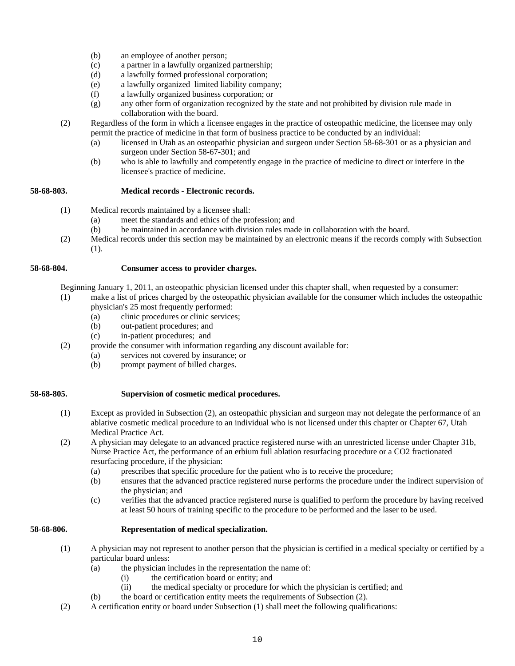- (b) an employee of another person;
- (c) a partner in a lawfully organized partnership;
- (d) a lawfully formed professional corporation;
- (e) a lawfully organized limited liability company;
- (f) a lawfully organized business corporation; or
- (g) any other form of organization recognized by the state and not prohibited by division rule made in collaboration with the board.
- (2) Regardless of the form in which a licensee engages in the practice of osteopathic medicine, the licensee may only permit the practice of medicine in that form of business practice to be conducted by an individual:
	- (a) licensed in Utah as an osteopathic physician and surgeon under Section 58-68-301 or as a physician and surgeon under Section 58-67-301; and
	- (b) who is able to lawfully and competently engage in the practice of medicine to direct or interfere in the licensee's practice of medicine.

# **58-68-803. Medical records - Electronic records.**

- (1) Medical records maintained by a licensee shall:
	- (a) meet the standards and ethics of the profession; and
	- (b) be maintained in accordance with division rules made in collaboration with the board.
- (2) Medical records under this section may be maintained by an electronic means if the records comply with Subsection (1).

# **58-68-804. Consumer access to provider charges.**

Beginning January 1, 2011, an osteopathic physician licensed under this chapter shall, when requested by a consumer:

- (1) make a list of prices charged by the osteopathic physician available for the consumer which includes the osteopathic physician's 25 most frequently performed:
	- (a) clinic procedures or clinic services;
	- (b) out-patient procedures; and
	- (c) in-patient procedures; and
	- (2) provide the consumer with information regarding any discount available for:
		- (a) services not covered by insurance; or
			- (b) prompt payment of billed charges.

# **58-68-805. Supervision of cosmetic medical procedures.**

- (1) Except as provided in Subsection (2), an osteopathic physician and surgeon may not delegate the performance of an ablative cosmetic medical procedure to an individual who is not licensed under this chapter or Chapter 67, Utah Medical Practice Act.
- (2) A physician may delegate to an advanced practice registered nurse with an unrestricted license under Chapter 31b, Nurse Practice Act, the performance of an erbium full ablation resurfacing procedure or a CO2 fractionated resurfacing procedure, if the physician:
	- (a) prescribes that specific procedure for the patient who is to receive the procedure;
	- (b) ensures that the advanced practice registered nurse performs the procedure under the indirect supervision of the physician; and
	- (c) verifies that the advanced practice registered nurse is qualified to perform the procedure by having received at least 50 hours of training specific to the procedure to be performed and the laser to be used.

# **58-68-806. Representation of medical specialization.**

- (1) A physician may not represent to another person that the physician is certified in a medical specialty or certified by a particular board unless:
	- (a) the physician includes in the representation the name of:
		- (i) the certification board or entity; and
			- (ii) the medical specialty or procedure for which the physician is certified; and
	- (b) the board or certification entity meets the requirements of Subsection (2).
- (2) A certification entity or board under Subsection (1) shall meet the following qualifications: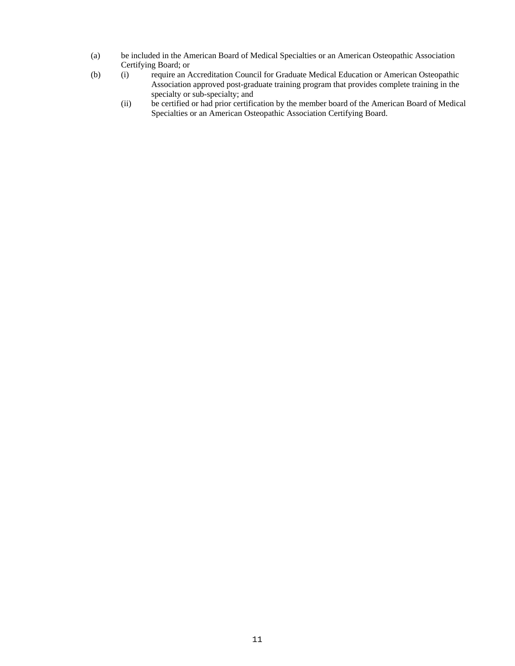- (a) be included in the American Board of Medical Specialties or an American Osteopathic Association Certifying Board; or
- (b) (i) require an Accreditation Council for Graduate Medical Education or American Osteopathic Association approved post-graduate training program that provides complete training in the specialty or sub-specialty; and
	- (ii) be certified or had prior certification by the member board of the American Board of Medical Specialties or an American Osteopathic Association Certifying Board.